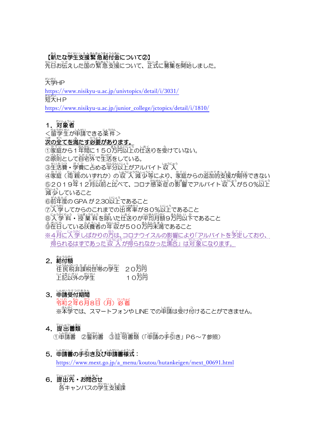# 【薪たな学生支援繁急給付金について②】

<u>。。</u><br>先日お伝えした国の繁急支援について、 正式に募集を開始しました。

<sub>だいがく</sub><br>大学HP

<https://www.nisikyu-u.ac.jp/univtopics/detail/i/3031/>

<u><br>短大HP</u>

[https://www.nisikyu-u.ac.jp/junior\\_college/jctopics/detail/i/1810/](https://www.nisikyu-u.ac.jp/junior_college/jctopics/detail/i/1810/)

1. 対象者

く留学生が申請できる条件>

## 。<br>**茨の全てを満たす**必要があります。

①家庭から1 年間に150万円以上の仕送りを受けていない。

②隙萴として首宅外で生活をしている。

③生活費・学費に占める半分以上がアルバイト収 入

④家庭(両親のいずれか)の収 入 減 少等により、 家庭からの追加的支援が期待できない ⑤2019年12月以前と比べて、コロナ懲染症の影響でアルバイト収 入が50%以上 。<br>減少していること

⑥前年度の GPA が 2.30以上であること

⑦入学してからのこれまでの出席率が80%以上であること

⑧入 学 料・授 業 料を除いた仕送りが平均月額9方円以下であること

◎跫旨している扶養者の年収が500労肖未満であること

※4月に入学しばかりの方は、コロナウイスルの影響により「アルバイトを予定しており、 得られるはずであった 収 入 が得られなかった場合」 は対象になります。

### 2. 給付額

| <u> 隆氏税非課税世帯の学生</u> 2025年 |              |
|---------------------------|--------------|
| <sub>」</sub><br>上記以外の学生   | まんえん<br>10万円 |

# 3. 申請受付期間

令和れ い わ 2年 ねん 6月 がつ 8日 にち (月 げつ )必 着 ひっちゃく

※本学では、スマートフォンや LINE での単請は受け付けることができません。

### 4. 提出書類

①申請書 ②警約書 ③証明書類(「申請の手引き」 P6~7参照)

### 5. 単請書の手引き及び単請書様式:

[https://www.mext.go.jp/a\\_menu/koutou/hutankeigen/mext\\_00691.html](https://www.mext.go.jp/a_menu/koutou/hutankeigen/mext_00691.html)

 $6.$ 提出先·お問合せ 、<br>各キャンパスの学生支援課